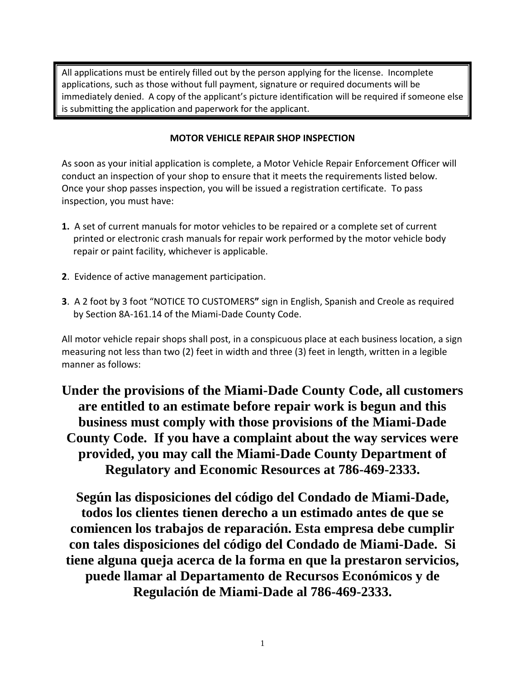All applications must be entirely filled out by the person applying for the license. Incomplete applications, such as those without full payment, signature or required documents will be immediately denied. A copy of the applicant's picture identification will be required if someone else is submitting the application and paperwork for the applicant.

## **MOTOR VEHICLE REPAIR SHOP INSPECTION**

As soon as your initial application is complete, a Motor Vehicle Repair Enforcement Officer will conduct an inspection of your shop to ensure that it meets the requirements listed below. Once your shop passes inspection, you will be issued a registration certificate. To pass inspection, you must have:

- **1.** A set of current manuals for motor vehicles to be repaired or a complete set of current printed or electronic crash manuals for repair work performed by the motor vehicle body repair or paint facility, whichever is applicable.
- **2**. Evidence of active management participation.
- **3**. A 2 foot by 3 foot "NOTICE TO CUSTOMERS**"** sign in English, Spanish and Creole as required by Section 8A-161.14 of the Miami-Dade County Code.

All motor vehicle repair shops shall post, in a conspicuous place at each business location, a sign measuring not less than two (2) feet in width and three (3) feet in length, written in a legible manner as follows:

**Under the provisions of the Miami-Dade County Code, all customers are entitled to an estimate before repair work is begun and this business must comply with those provisions of the Miami-Dade County Code. If you have a complaint about the way services were provided, you may call the Miami-Dade County Department of Regulatory and Economic Resources at 786-469-2333.**

**Según las disposiciones del código del Condado de Miami-Dade, todos los clientes tienen derecho a un estimado antes de que se comiencen los trabajos de reparación. Esta empresa debe cumplir con tales disposiciones del código del Condado de Miami-Dade. Si tiene alguna queja acerca de la forma en que la prestaron servicios, puede llamar al Departamento de Recursos Económicos y de Regulación de Miami-Dade al 786-469-2333.**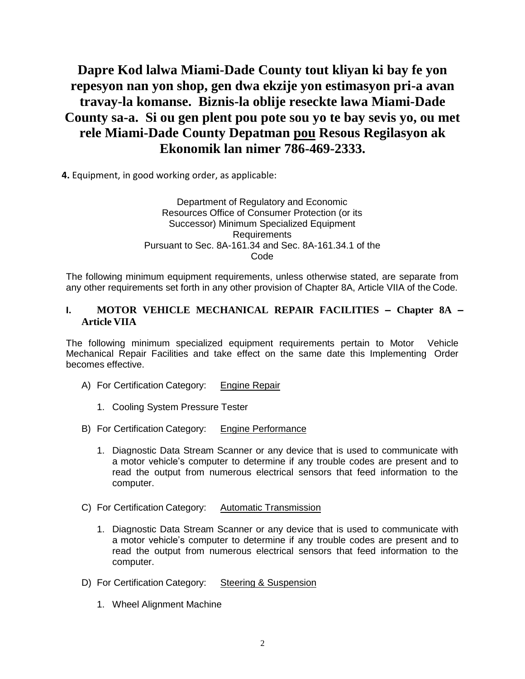# **Dapre Kod lalwa Miami-Dade County tout kliyan ki bay fe yon repesyon nan yon shop, gen dwa ekzije yon estimasyon pri-a avan travay-la komanse. Biznis-la oblije reseckte lawa Miami-Dade County sa-a. Si ou gen plent pou pote sou yo te bay sevis yo, ou met rele Miami-Dade County Depatman pou Resous Regilasyon ak Ekonomik lan nimer 786-469-2333.**

**4.** Equipment, in good working order, as applicable:

#### Department of Regulatory and Economic Resources Office of Consumer Protection (or its Successor) Minimum Specialized Equipment Requirements Pursuant to Sec. 8A-161.34 and Sec. 8A-161.34.1 of the Code

The following minimum equipment requirements, unless otherwise stated, are separate from any other requirements set forth in any other provision of Chapter 8A, Article VIIA of the Code.

## **I. MOTOR VEHICLE MECHANICAL REPAIR FACILITIES – Chapter 8A – Article VIIA**

The following minimum specialized equipment requirements pertain to Motor Vehicle Mechanical Repair Facilities and take effect on the same date this Implementing Order becomes effective.

- A) For Certification Category: Engine Repair
	- 1. Cooling System Pressure Tester
- B) For Certification Category: Engine Performance
	- 1. Diagnostic Data Stream Scanner or any device that is used to communicate with a motor vehicle's computer to determine if any trouble codes are present and to read the output from numerous electrical sensors that feed information to the computer.
- C) For Certification Category: Automatic Transmission
	- 1. Diagnostic Data Stream Scanner or any device that is used to communicate with a motor vehicle's computer to determine if any trouble codes are present and to read the output from numerous electrical sensors that feed information to the computer.
- D) For Certification Category: Steering & Suspension
	- 1. Wheel Alignment Machine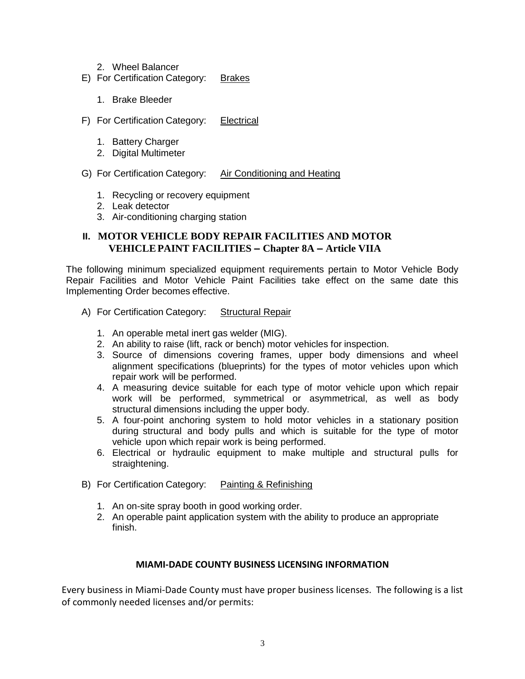- 2. Wheel Balancer
- E) For Certification Category: Brakes
	- 1. Brake Bleeder
- F) For Certification Category: Electrical
	- 1. Battery Charger
	- 2. Digital Multimeter

#### G) For Certification Category: Air Conditioning and Heating

- 1. Recycling or recovery equipment
- 2. Leak detector
- 3. Air-conditioning charging station

## **II. MOTOR VEHICLE BODY REPAIR FACILITIES AND MOTOR VEHICLEPAINT FACILITIES – Chapter 8A – Article VIIA**

The following minimum specialized equipment requirements pertain to Motor Vehicle Body Repair Facilities and Motor Vehicle Paint Facilities take effect on the same date this Implementing Order becomes effective.

- A) For Certification Category: Structural Repair
	- 1. An operable metal inert gas welder (MIG).
	- 2. An ability to raise (lift, rack or bench) motor vehicles for inspection.
	- 3. Source of dimensions covering frames, upper body dimensions and wheel alignment specifications (blueprints) for the types of motor vehicles upon which repair work will be performed.
	- 4. A measuring device suitable for each type of motor vehicle upon which repair work will be performed, symmetrical or asymmetrical, as well as body structural dimensions including the upper body.
	- 5. A four-point anchoring system to hold motor vehicles in a stationary position during structural and body pulls and which is suitable for the type of motor vehicle upon which repair work is being performed.
	- 6. Electrical or hydraulic equipment to make multiple and structural pulls for straightening.
- B) For Certification Category: Painting & Refinishing
	- 1. An on-site spray booth in good working order.
	- 2. An operable paint application system with the ability to produce an appropriate finish.

#### **MIAMI-DADE COUNTY BUSINESS LICENSING INFORMATION**

Every business in Miami-Dade County must have proper business licenses. The following is a list of commonly needed licenses and/or permits: